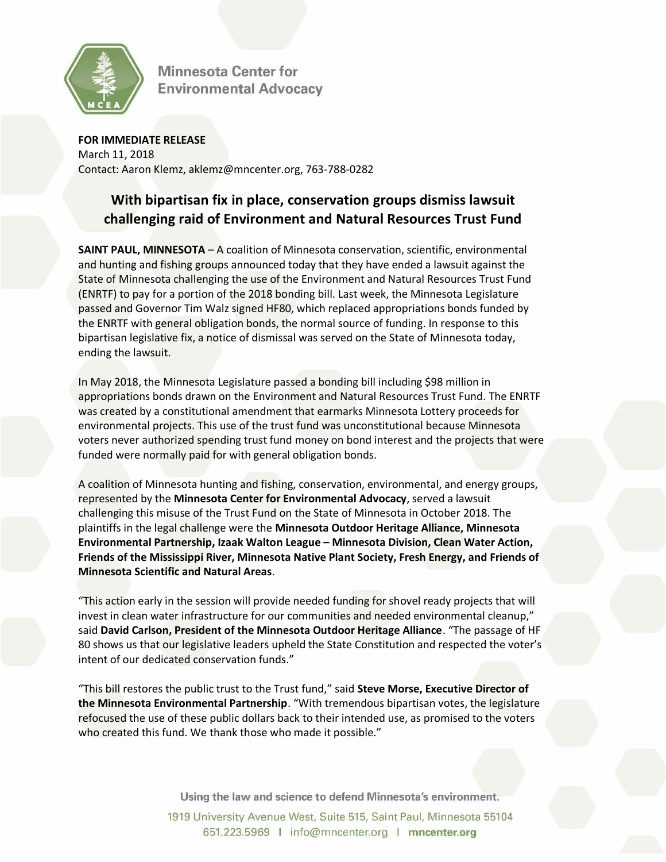

**Minnesota Center for Environmental Advocacv** 

**FOR IMMEDIATE RELEASE** March 11, 2018 Contact: Aaron Klemz, aklemz@mncenter.org, 763-788-0282

## **With bipartisan fix in place, conservation groups dismiss lawsuit challenging raid of Environment and Natural Resources Trust Fund**

**SAINT PAUL, MINNESOTA** – A coalition of Minnesota conservation, scientific, environmental and hunting and fishing groups announced today that they have ended a lawsuit against the State of Minnesota challenging the use of the Environment and Natural Resources Trust Fund (ENRTF) to pay for a portion of the 2018 bonding bill. Last week, the Minnesota Legislature passed and Governor Tim Walz signed HF80, which replaced appropriations bonds funded by the ENRTF with general obligation bonds, the normal source of funding. In response to this bipartisan legislative fix, a notice of dismissal was served on the State of Minnesota today, ending the lawsuit.

In May 2018, the Minnesota Legislature passed a bonding bill including \$98 million in appropriations bonds drawn on the Environment and Natural Resources Trust Fund. The ENRTF was created by a constitutional amendment that earmarks Minnesota Lottery proceeds for environmental projects. This use of the trust fund was unconstitutional because Minnesota voters never authorized spending trust fund money on bond interest and the projects that were funded were normally paid for with general obligation bonds.

A coalition of Minnesota hunting and fishing, conservation, environmental, and energy groups, represented by the **Minnesota Center for Environmental Advocacy**, served a lawsuit challenging this misuse of the Trust Fund on the State of Minnesota in October 2018. The plaintiffs in the legal challenge were the **Minnesota Outdoor Heritage Alliance, Minnesota Environmental Partnership, Izaak Walton League – Minnesota Division, Clean Water Action, Friends of the Mississippi River, Minnesota Native Plant Society, Fresh Energy, and Friends of Minnesota Scientific and Natural Areas**.

"This action early in the session will provide needed funding for shovel ready projects that will invest in clean water infrastructure for our communities and needed environmental cleanup," said **David Carlson, President of the Minnesota Outdoor Heritage Alliance**. "The passage of HF 80 shows us that our legislative leaders upheld the State Constitution and respected the voter's intent of our dedicated conservation funds."

"This bill restores the public trust to the Trust fund," said **Steve Morse, Executive Director of the Minnesota Environmental Partnership**. "With tremendous bipartisan votes, the legislature refocused the use of these public dollars back to their intended use, as promised to the voters who created this fund. We thank those who made it possible."

Using the law and science to defend Minnesota's environment.

1919 University Avenue West, Suite 515, Saint Paul, Minnesota 55104 651.223.5969 | info@mncenter.org | mncenter.org